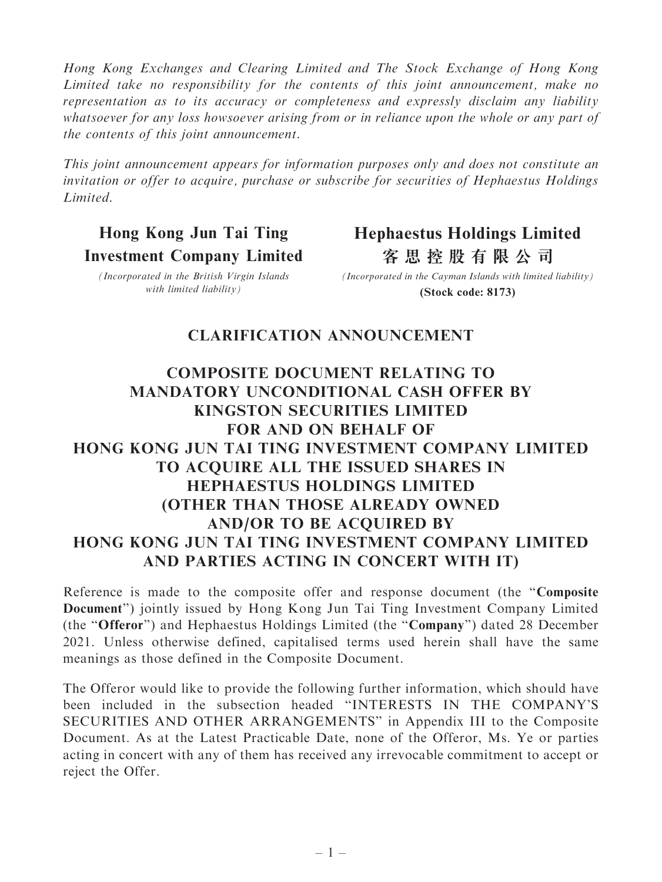Hong Kong Exchanges and Clearing Limited and The Stock Exchange of Hong Kong Limited take no responsibility for the contents of this joint announcement, make no representation as to its accuracy or completeness and expressly disclaim any liability whatsoever for any loss howsoever arising from or in reliance upon the whole or any part of the contents of this joint announcement.

This joint announcement appears for information purposes only and does not constitute an invitation or offer to acquire, purchase or subscribe for securities of Hephaestus Holdings Limited.

## Hong Kong Jun Tai Ting Investment Company Limited

## **Hephaestus Holdings Limited 客思控股有限公司**

(Incorporated in the British Virgin Islands with limited liability)

**(Stock code: 8173)** *(Incorporated in the Cayman Islands with limited liability)*

## CLARIFICATION ANNOUNCEMENT

## COMPOSITE DOCUMENT RELATING TO MANDATORY UNCONDITIONAL CASH OFFER BY KINGSTON SECURITIES LIMITED FOR AND ON BEHALF OF HONG KONG JUN TAI TING INVESTMENT COMPANY LIMITED TO ACQUIRE ALL THE ISSUED SHARES IN HEPHAESTUS HOLDINGS LIMITED (OTHER THAN THOSE ALREADY OWNED AND/OR TO BE ACQUIRED BY HONG KONG JUN TAI TING INVESTMENT COMPANY LIMITED AND PARTIES ACTING IN CONCERT WITH IT)

Reference is made to the composite offer and response document (the ''Composite Document'') jointly issued by Hong Kong Jun Tai Ting Investment Company Limited (the ''Offeror'') and Hephaestus Holdings Limited (the ''Company'') dated 28 December 2021. Unless otherwise defined, capitalised terms used herein shall have the same meanings as those defined in the Composite Document.

The Offeror would like to provide the following further information, which should have been included in the subsection headed ''INTERESTS IN THE COMPANY'S SECURITIES AND OTHER ARRANGEMENTS'' in Appendix III to the Composite Document. As at the Latest Practicable Date, none of the Offeror, Ms. Ye or parties acting in concert with any of them has received any irrevocable commitment to accept or reject the Offer.